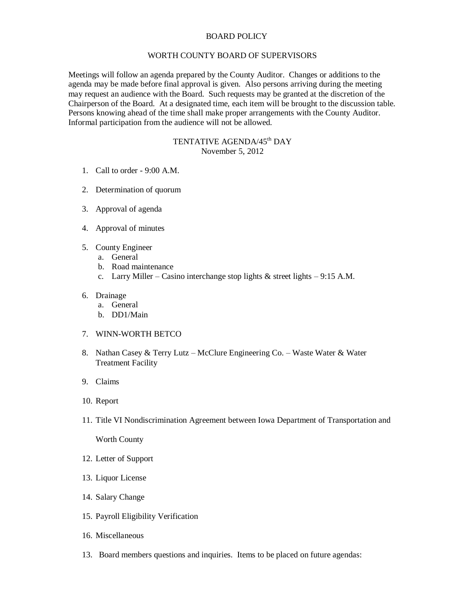## BOARD POLICY

## WORTH COUNTY BOARD OF SUPERVISORS

Meetings will follow an agenda prepared by the County Auditor. Changes or additions to the agenda may be made before final approval is given. Also persons arriving during the meeting may request an audience with the Board. Such requests may be granted at the discretion of the Chairperson of the Board. At a designated time, each item will be brought to the discussion table. Persons knowing ahead of the time shall make proper arrangements with the County Auditor. Informal participation from the audience will not be allowed.

## TENTATIVE AGENDA/45<sup>th</sup> DAY November 5, 2012

- 1. Call to order 9:00 A.M.
- 2. Determination of quorum
- 3. Approval of agenda
- 4. Approval of minutes
- 5. County Engineer
	- a. General
	- b. Road maintenance
	- c. Larry Miller Casino interchange stop lights  $\&$  street lights 9:15 A.M.
- 6. Drainage
	- a. General
	- b. DD1/Main
- 7. WINN-WORTH BETCO
- 8. Nathan Casey & Terry Lutz McClure Engineering Co. Waste Water & Water Treatment Facility
- 9. Claims
- 10. Report
- 11. Title VI Nondiscrimination Agreement between Iowa Department of Transportation and

Worth County

- 12. Letter of Support
- 13. Liquor License
- 14. Salary Change
- 15. Payroll Eligibility Verification
- 16. Miscellaneous
- 13. Board members questions and inquiries. Items to be placed on future agendas: